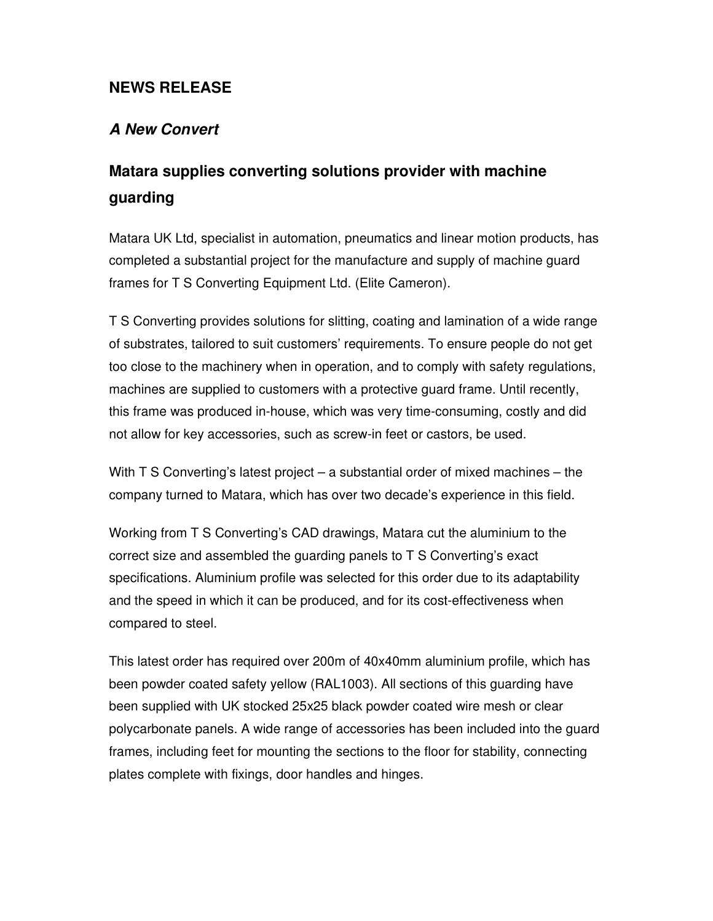## **NEWS RELEASE**

## **A New Convert**

# **Matara supplies converting solutions provider with machine guarding**

Matara UK Ltd, specialist in automation, pneumatics and linear motion products, has completed a substantial project for the manufacture and supply of machine guard frames for T S Converting Equipment Ltd. (Elite Cameron).

T S Converting provides solutions for slitting, coating and lamination of a wide range of substrates, tailored to suit customers' requirements. To ensure people do not get too close to the machinery when in operation, and to comply with safety regulations, machines are supplied to customers with a protective guard frame. Until recently, this frame was produced in-house, which was very time-consuming, costly and did not allow for key accessories, such as screw-in feet or castors, be used.

With T S Converting's latest project – a substantial order of mixed machines – the company turned to Matara, which has over two decade's experience in this field.

Working from T S Converting's CAD drawings, Matara cut the aluminium to the correct size and assembled the guarding panels to T S Converting's exact specifications. Aluminium profile was selected for this order due to its adaptability and the speed in which it can be produced, and for its cost-effectiveness when compared to steel.

This latest order has required over 200m of 40x40mm aluminium profile, which has been powder coated safety yellow (RAL1003). All sections of this guarding have been supplied with UK stocked 25x25 black powder coated wire mesh or clear polycarbonate panels. A wide range of accessories has been included into the guard frames, including feet for mounting the sections to the floor for stability, connecting plates complete with fixings, door handles and hinges.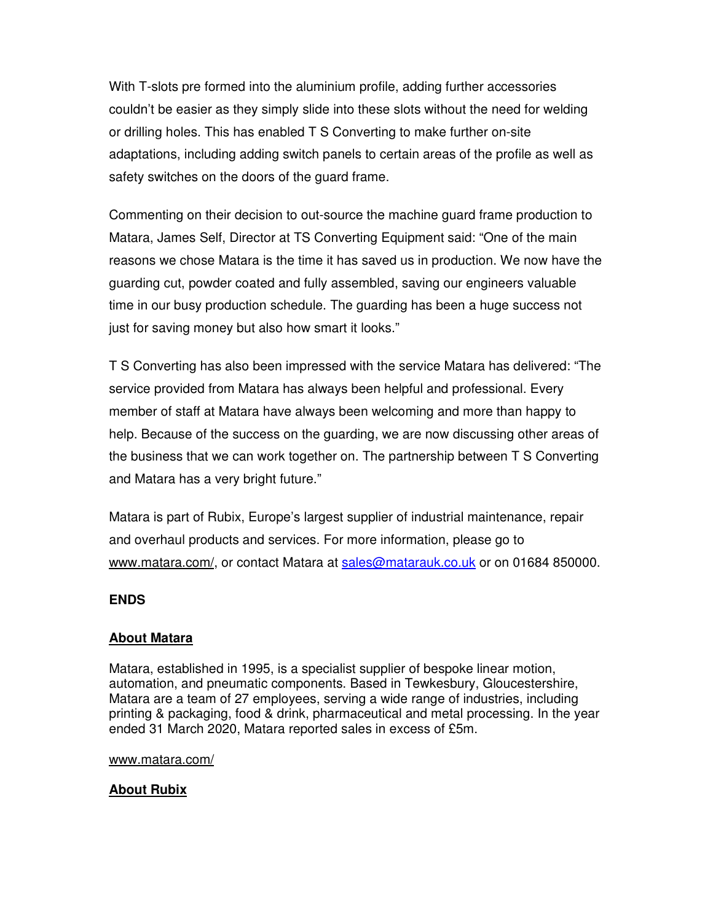With T-slots pre formed into the aluminium profile, adding further accessories couldn't be easier as they simply slide into these slots without the need for welding or drilling holes. This has enabled T S Converting to make further on-site adaptations, including adding switch panels to certain areas of the profile as well as safety switches on the doors of the guard frame.

Commenting on their decision to out-source the machine guard frame production to Matara, James Self, Director at TS Converting Equipment said: "One of the main reasons we chose Matara is the time it has saved us in production. We now have the guarding cut, powder coated and fully assembled, saving our engineers valuable time in our busy production schedule. The guarding has been a huge success not just for saving money but also how smart it looks."

T S Converting has also been impressed with the service Matara has delivered: "The service provided from Matara has always been helpful and professional. Every member of staff at Matara have always been welcoming and more than happy to help. Because of the success on the guarding, we are now discussing other areas of the business that we can work together on. The partnership between T S Converting and Matara has a very bright future."

Matara is part of Rubix, Europe's largest supplier of industrial maintenance, repair and overhaul products and services. For more information, please go to www.matara.com/, or contact Matara at sales@matarauk.co.uk or on 01684 850000.

#### **ENDS**

### **About Matara**

Matara, established in 1995, is a specialist supplier of bespoke linear motion, automation, and pneumatic components. Based in Tewkesbury, Gloucestershire, Matara are a team of 27 employees, serving a wide range of industries, including printing & packaging, food & drink, pharmaceutical and metal processing. In the year ended 31 March 2020, Matara reported sales in excess of £5m.

#### www.matara.com/

#### **About Rubix**